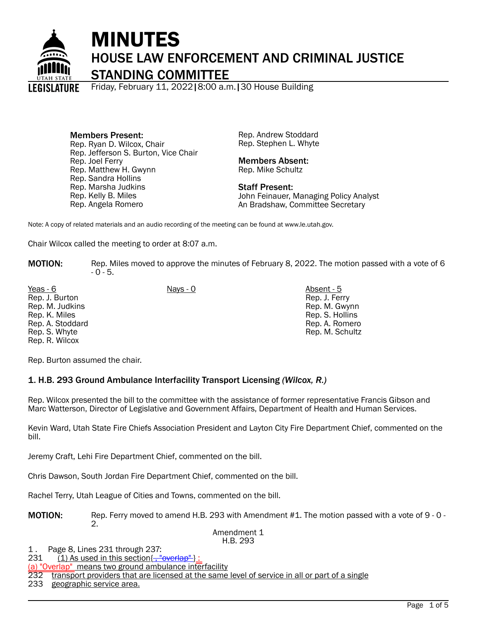

# MINUTES HOUSE LAW ENFORCEMENT AND CRIMINAL JUSTICE

STANDING COMMITTEE

Friday, February 11, 2022|8:00 a.m.|30 House Building

Members Present: Rep. Ryan D. Wilcox, Chair Rep. Jefferson S. Burton, Vice Chair Rep. Joel Ferry Rep. Matthew H. Gwynn Rep. Sandra Hollins Rep. Marsha Judkins Rep. Kelly B. Miles Rep. Angela Romero

Rep. Andrew Stoddard Rep. Stephen L. Whyte

#### Members Absent: Rep. Mike Schultz

Staff Present: John Feinauer, Managing Policy Analyst An Bradshaw, Committee Secretary

Note: A copy of related materials and an audio recording of the meeting can be found at www.le.utah.gov.

Chair Wilcox called the meeting to order at 8:07 a.m.

**MOTION:** Rep. Miles moved to approve the minutes of February 8, 2022. The motion passed with a vote of 6  $-0 - 5.$ 

Yeas - 6 Nays - 0 Absent - 5 Rep. J. Burton Rep. M. Judkins Rep. K. Miles Rep. A. Stoddard Rep. S. Whyte Rep. R. Wilcox

Rep. J. Ferry Rep. M. Gwynn Rep. S. Hollins Rep. A. Romero Rep. M. Schultz

Rep. Burton assumed the chair.

## 1. H.B. 293 Ground Ambulance Interfacility Transport Licensing *(Wilcox, R.)*

Rep. Wilcox presented the bill to the committee with the assistance of former representative Francis Gibson and Marc Watterson, Director of Legislative and Government Affairs, Department of Health and Human Services.

Kevin Ward, Utah State Fire Chiefs Association President and Layton City Fire Department Chief, commented on the bill.

Jeremy Craft, Lehi Fire Department Chief, commented on the bill.

Chris Dawson, South Jordan Fire Department Chief, commented on the bill.

Rachel Terry, Utah League of Cities and Towns, commented on the bill.

MOTION: Rep. Ferry moved to amend H.B. 293 with Amendment #1. The motion passed with a vote of 9 - 0 - $\mathcal{D}_{\mathcal{L}}$ 

#### Amendment 1 H.B. 293

1. Page 8, Lines 231 through 237:<br>231 (1) As used in this section

 $(1)$  As used in this section $\{\frac{1}{2}, \frac{1}{2}$  werlap"

(a) "Overlap" means two ground ambulance interfacility

232 transport providers that are licensed at the same level of service in all or part of a single

233 geographic service area.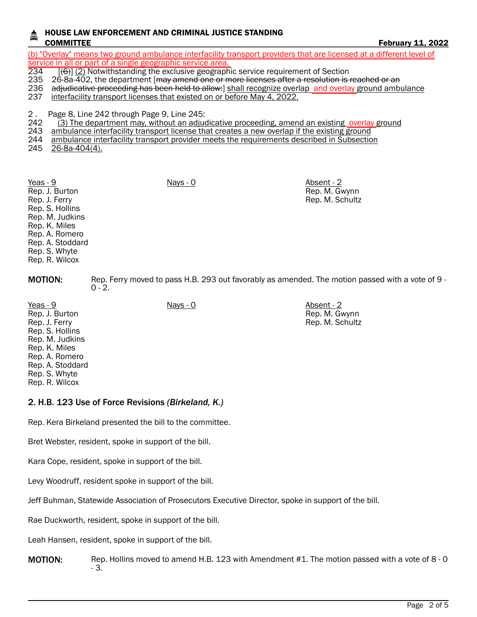## HOUSE LAW ENFORCEMENT AND CRIMINAL JUSTICE STANDING COMMITTEE **FEBRUARY 11, 2022**

(b) "Overlay" means two ground ambulance interfacility transport providers that are licensed at a different level of service in all or part of a single geographic service area.<br>234 – [(6)] (2) Notwithstanding the exclusive geographi

 $234$  [(6)] (2) Notwithstanding the exclusive geographic service requirement of Section<br>235 26-8a-402, the department [may amend one or more licenses after a resolution is

- 235 26-8a-402, the department [<del>may amend one or more licenses after a resolution is reached or an</del><br>236 adjudicative proceeding has been held to allow: I shall recognize overlap and overlay ground amb
- adjudicative proceeding has been held to allow: shall recognize overlap and overlay ground ambulance
- 237 interfacility transport licenses that existed on or before May 4, 2022.

2 . Page 8, Line 242 through Page 9, Line 245:

- (3) The department may, without an adjudicative proceeding, amend an existing overlay ground
- 243 ambulance interfacility transport license that creates a new overlap if the existing ground
- 244 ambulance interfacility transport provider meets the requirements described in Subsection
- 245 26-8a-404(4).

Yeas - 9 Nays - 0 Absent - 2 Rep. J. Burton Rep. J. Ferry Rep. S. Hollins Rep. M. Judkins Rep. K. Miles Rep. A. Romero Rep. A. Stoddard Rep. S. Whyte Rep. R. Wilcox

MOTION: Rep. Ferry moved to pass H.B. 293 out favorably as amended. The motion passed with a vote of 9 -  $0 - 2.$ 

Rep. M. Gwynn Rep. M. Schultz

Rep. M. Gwynn Rep. M. Schultz

Yeas - 9 Nays - 0 Absent - 2 Rep. J. Burton Rep. J. Ferry Rep. S. Hollins Rep. M. Judkins Rep. K. Miles Rep. A. Romero Rep. A. Stoddard Rep. S. Whyte Rep. R. Wilcox

# 2. H.B. 123 Use of Force Revisions *(Birkeland, K.)*

Rep. Kera Birkeland presented the bill to the committee.

Bret Webster, resident, spoke in support of the bill.

Kara Cope, resident, spoke in support of the bill.

Levy Woodruff, resident spoke in support of the bill.

Jeff Buhman, Statewide Association of Prosecutors Executive Director, spoke in support of the bill.

Rae Duckworth, resident, spoke in support of the bill.

Leah Hansen, resident, spoke in support of the bill.

**MOTION:** Rep. Hollins moved to amend H.B. 123 with Amendment #1. The motion passed with a vote of 8 - 0 - 3.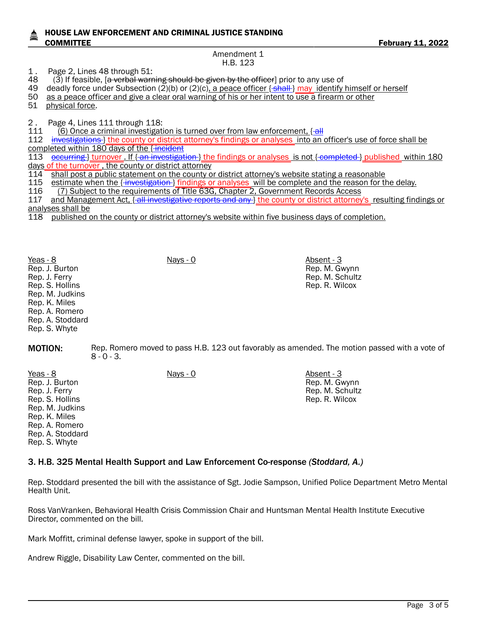### HOUSE LAW ENFORCEMENT AND CRIMINAL JUSTICE STANDING COMMITTEE **FEBRUARY 11, 2022**

Amendment 1 H.B. 123

1 . Page 2, Lines 48 through 51:

48 (3) If feasible, [a verbal warning should be given by the officer] prior to any use of

- 49 deadly force under Subsection (2)(b) or (2)(c), a peace officer  $\{\text{shall}\}\$  may identify himself or herself
- 50 as a peace officer and give a clear oral warning of his or her intent to use a firearm or other

51 physical force.

2. Page 4, Lines 111 through 118:<br>111 (6) Once a criminal investigati

111 (6) Once a criminal investigation is turned over from law enforcement,  $\{$ all 112 investigations l the county or district attorney's findings or analyses into an investigations } the county or district attorney's findings or analyses into an officer's use of force shall be completed within 180 days of the {incident

113 **occurring } turnover. If { an investigation } the findings or analyses is not { completed } published within 180** days of the turnover , the county or district attorney

- 114 shall post a public statement on the county or district attorney's website stating a reasonable<br>115 estimate when the f-investigation-) findings or analyses will be complete and the reason for the
- 115 estimate when the { investigation } findings or analyses will be complete and the reason for the delay.<br>116 (7) Subject to the requirements of Title 63G. Chapter 2. Government Records Access
- (7) Subject to the requirements of Title 63G, Chapter 2, Government Records Access
- 117 and Management Act, { all investigative reports and any } the county or district attorney's resulting findings or analyses shall be

Rep. M. Gwynn Rep. M. Schultz Rep. R. Wilcox

118 published on the county or district attorney's website within five business days of completion.

Yeas - 8 Nays - 0 Absent - 3 Rep. J. Burton Rep. J. Ferry Rep. S. Hollins Rep. M. Judkins Rep. K. Miles Rep. A. Romero Rep. A. Stoddard Rep. S. Whyte

**MOTION:** Rep. Romero moved to pass H.B. 123 out favorably as amended. The motion passed with a vote of  $8 - 0 - 3$ .

Yeas - 8 Nays - 0 Absent - 3 Rep. J. Burton Rep. J. Ferry Rep. S. Hollins Rep. M. Judkins Rep. K. Miles Rep. A. Romero Rep. A. Stoddard Rep. S. Whyte Rep. M. Gwynn Rep. M. Schultz Rep. R. Wilcox

## 3. H.B. 325 Mental Health Support and Law Enforcement Co-response *(Stoddard, A.)*

Rep. Stoddard presented the bill with the assistance of Sgt. Jodie Sampson, Unified Police Department Metro Mental Health Unit.

Ross VanVranken, Behavioral Health Crisis Commission Chair and Huntsman Mental Health Institute Executive Director, commented on the bill.

Mark Moffitt, criminal defense lawyer, spoke in support of the bill.

Andrew Riggle, Disability Law Center, commented on the bill.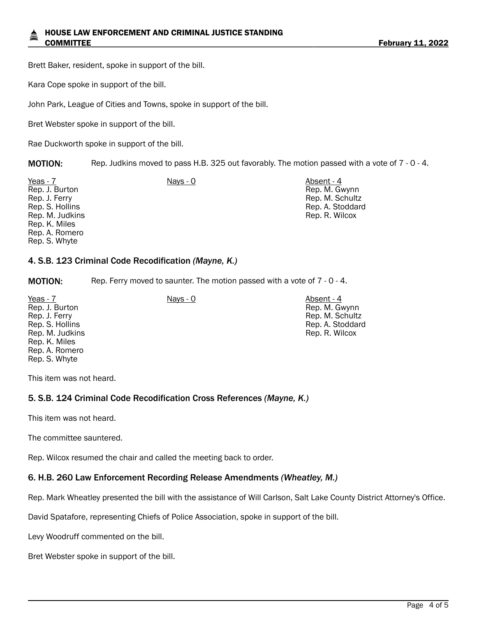Brett Baker, resident, spoke in support of the bill.

Kara Cope spoke in support of the bill.

John Park, League of Cities and Towns, spoke in support of the bill.

Bret Webster spoke in support of the bill.

Rae Duckworth spoke in support of the bill.

MOTION: Rep. Judkins moved to pass H.B. 325 out favorably. The motion passed with a vote of 7 - 0 - 4.

| Absent - 4       |
|------------------|
| Rep. M. Gwynn    |
| Rep. M. Schultz  |
| Rep. A. Stoddard |
| Rep. R. Wilcox   |
|                  |
|                  |
|                  |
| Nays - 0         |

## 4. S.B. 123 Criminal Code Recodification *(Mayne, K.)*

**MOTION:** Rep. Ferry moved to saunter. The motion passed with a vote of 7 - 0 - 4.

| Yeas - 7        | Nays - 0 | Absent - 4       |
|-----------------|----------|------------------|
| Rep. J. Burton  |          | Rep. M. Gwynn    |
| Rep. J. Ferry   |          | Rep. M. Schultz  |
| Rep. S. Hollins |          | Rep. A. Stoddard |
| Rep. M. Judkins |          | Rep. R. Wilcox   |
| Rep. K. Miles   |          |                  |
| Rep. A. Romero  |          |                  |
| Rep. S. Whyte   |          |                  |
|                 |          |                  |

This item was not heard.

## 5. S.B. 124 Criminal Code Recodification Cross References *(Mayne, K.)*

This item was not heard.

The committee sauntered.

Rep. Wilcox resumed the chair and called the meeting back to order.

## 6. H.B. 260 Law Enforcement Recording Release Amendments *(Wheatley, M.)*

Rep. Mark Wheatley presented the bill with the assistance of Will Carlson, Salt Lake County District Attorney's Office.

David Spatafore, representing Chiefs of Police Association, spoke in support of the bill.

Levy Woodruff commented on the bill.

Bret Webster spoke in support of the bill.